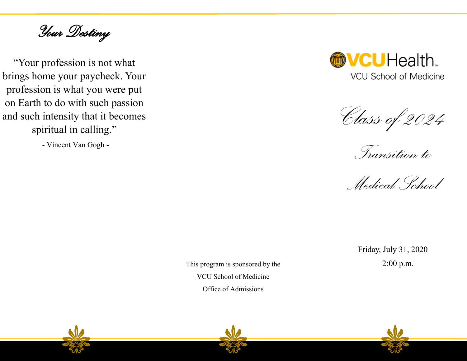*Your Destiny* 

"Your profession is not what brings home your paycheck. Your profession is what you were put on Earth to do with such passion and such intensity that it becomes spiritual in calling."

- Vincent Van Gogh -



*Class of 2024*

*Transition to* 

*Medical School* 

Friday, July 31, 2020

This program is sponsored by the 2:00 p.m. VCU School of Medicine Office of Admissions